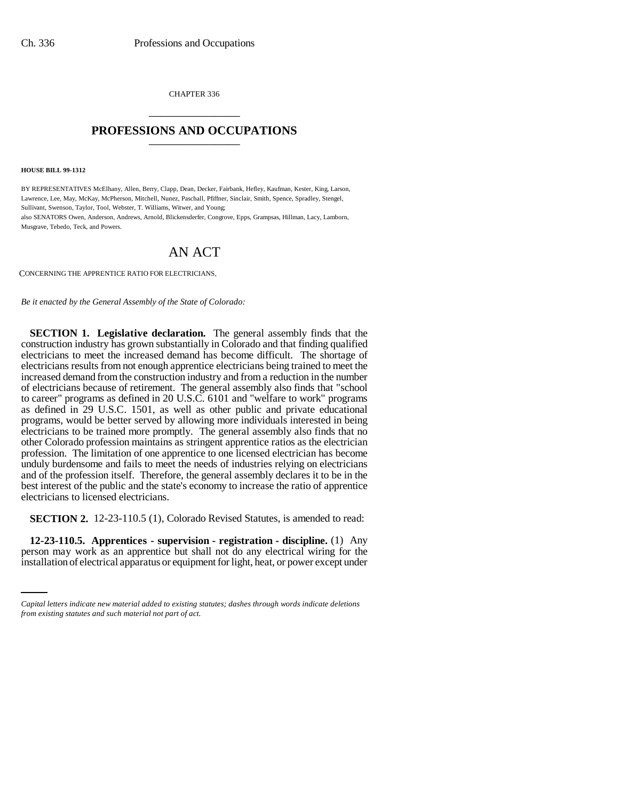CHAPTER 336 \_\_\_\_\_\_\_\_\_\_\_\_\_\_\_

## **PROFESSIONS AND OCCUPATIONS** \_\_\_\_\_\_\_\_\_\_\_\_\_\_\_

**HOUSE BILL 99-1312** 

BY REPRESENTATIVES McElhany, Allen, Berry, Clapp, Dean, Decker, Fairbank, Hefley, Kaufman, Kester, King, Larson, Lawrence, Lee, May, McKay, McPherson, Mitchell, Nunez, Paschall, Pfiffner, Sinclair, Smith, Spence, Spradley, Stengel, Sullivant, Swenson, Taylor, Tool, Webster, T. Williams, Witwer, and Young; also SENATORS Owen, Anderson, Andrews, Arnold, Blickensderfer, Congrove, Epps, Grampsas, Hillman, Lacy, Lamborn, Musgrave, Tebedo, Teck, and Powers.

## AN ACT

CONCERNING THE APPRENTICE RATIO FOR ELECTRICIANS.

*Be it enacted by the General Assembly of the State of Colorado:*

**SECTION 1. Legislative declaration.** The general assembly finds that the construction industry has grown substantially in Colorado and that finding qualified electricians to meet the increased demand has become difficult. The shortage of electricians results from not enough apprentice electricians being trained to meet the increased demand from the construction industry and from a reduction in the number of electricians because of retirement. The general assembly also finds that "school to career" programs as defined in 20 U.S.C. 6101 and "welfare to work" programs as defined in 29 U.S.C. 1501, as well as other public and private educational programs, would be better served by allowing more individuals interested in being electricians to be trained more promptly. The general assembly also finds that no other Colorado profession maintains as stringent apprentice ratios as the electrician profession. The limitation of one apprentice to one licensed electrician has become unduly burdensome and fails to meet the needs of industries relying on electricians and of the profession itself. Therefore, the general assembly declares it to be in the best interest of the public and the state's economy to increase the ratio of apprentice electricians to licensed electricians.

**SECTION 2.** 12-23-110.5 (1), Colorado Revised Statutes, is amended to read:

 **12-23-110.5. Apprentices - supervision - registration - discipline.** (1) Any person may work as an apprentice but shall not do any electrical wiring for the installation of electrical apparatus or equipment for light, heat, or power except under

*Capital letters indicate new material added to existing statutes; dashes through words indicate deletions from existing statutes and such material not part of act.*